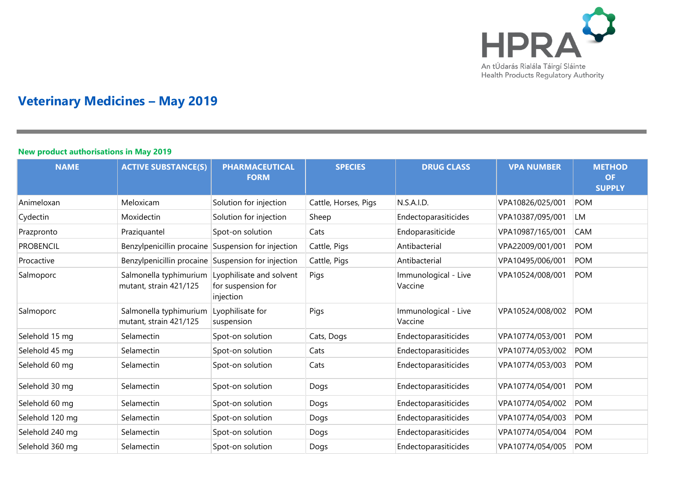

## **Veterinary Medicines – May 2019**

## **New product authorisations in May 2019**

| <b>NAME</b>      | <b>ACTIVE SUBSTANCE(S)</b>                         | <b>PHARMACEUTICAL</b><br><b>FORM</b>                        | <b>SPECIES</b>       | <b>DRUG CLASS</b>               | <b>VPA NUMBER</b> | <b>METHOD</b><br><b>OF</b><br><b>SUPPLY</b> |
|------------------|----------------------------------------------------|-------------------------------------------------------------|----------------------|---------------------------------|-------------------|---------------------------------------------|
| Animeloxan       | Meloxicam                                          | Solution for injection                                      | Cattle, Horses, Pigs | N.S.A.I.D.                      | VPA10826/025/001  | <b>POM</b>                                  |
| Cydectin         | Moxidectin                                         | Solution for injection                                      | Sheep                | Endectoparasiticides            | VPA10387/095/001  | <b>LM</b>                                   |
| Prazpronto       | Praziquantel                                       | Spot-on solution                                            | Cats                 | Endoparasiticide                | VPA10987/165/001  | <b>CAM</b>                                  |
| <b>PROBENCIL</b> | Benzylpenicillin procaine Suspension for injection |                                                             | Cattle, Pigs         | Antibacterial                   | VPA22009/001/001  | <b>POM</b>                                  |
| Procactive       | Benzylpenicillin procaine Suspension for injection |                                                             | Cattle, Pigs         | Antibacterial                   | VPA10495/006/001  | <b>POM</b>                                  |
| Salmoporc        | Salmonella typhimurium<br>mutant, strain 421/125   | Lyophilisate and solvent<br>for suspension for<br>injection | Pigs                 | Immunological - Live<br>Vaccine | VPA10524/008/001  | <b>POM</b>                                  |
| Salmoporc        | Salmonella typhimurium<br>mutant, strain 421/125   | Lyophilisate for<br>suspension                              | Pigs                 | Immunological - Live<br>Vaccine | VPA10524/008/002  | <b>POM</b>                                  |
| Selehold 15 mg   | Selamectin                                         | Spot-on solution                                            | Cats, Dogs           | Endectoparasiticides            | VPA10774/053/001  | <b>POM</b>                                  |
| Selehold 45 mg   | Selamectin                                         | Spot-on solution                                            | Cats                 | Endectoparasiticides            | VPA10774/053/002  | <b>POM</b>                                  |
| Selehold 60 mg   | Selamectin                                         | Spot-on solution                                            | Cats                 | Endectoparasiticides            | VPA10774/053/003  | <b>POM</b>                                  |
| Selehold 30 mg   | Selamectin                                         | Spot-on solution                                            | Dogs                 | Endectoparasiticides            | VPA10774/054/001  | <b>POM</b>                                  |
| Selehold 60 mg   | Selamectin                                         | Spot-on solution                                            | Dogs                 | Endectoparasiticides            | VPA10774/054/002  | <b>POM</b>                                  |
| Selehold 120 mg  | Selamectin                                         | Spot-on solution                                            | Dogs                 | Endectoparasiticides            | VPA10774/054/003  | <b>POM</b>                                  |
| Selehold 240 mg  | Selamectin                                         | Spot-on solution                                            | Dogs                 | Endectoparasiticides            | VPA10774/054/004  | <b>POM</b>                                  |
| Selehold 360 mg  | Selamectin                                         | Spot-on solution                                            | Dogs                 | Endectoparasiticides            | VPA10774/054/005  | <b>POM</b>                                  |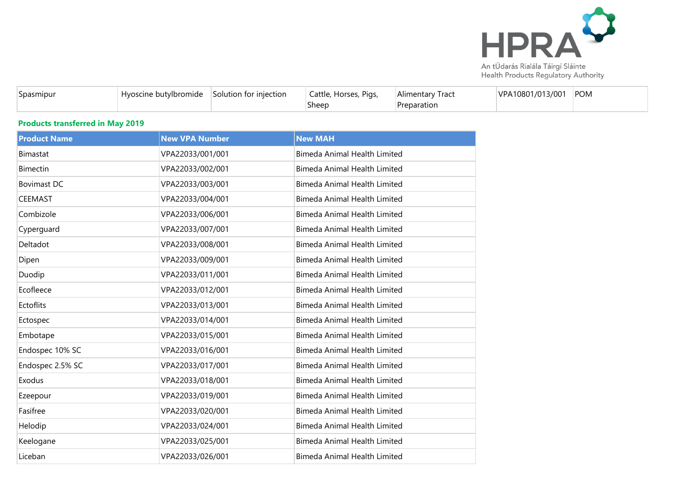

|  | <b>TICALLI TOGACLO REGARDEDITY AUGIOILLY</b> |  |
|--|----------------------------------------------|--|
|  |                                              |  |
|  |                                              |  |

| <b>Spasmipur</b> | Hyoscine butylbromide | Solution for injection | Pigs,<br>Cattle, Horses, | Alimentary Tract | VPA10801/013/001 | POM |
|------------------|-----------------------|------------------------|--------------------------|------------------|------------------|-----|
|                  |                       |                        | Sheep                    | Preparation      |                  |     |

## **Products transferred in May 2019**

| <b>Product Name</b> | <b>New VPA Number</b> | <b>New MAH</b>                      |
|---------------------|-----------------------|-------------------------------------|
| <b>Bimastat</b>     | VPA22033/001/001      | <b>Bimeda Animal Health Limited</b> |
| <b>Bimectin</b>     | VPA22033/002/001      | Bimeda Animal Health Limited        |
| <b>Bovimast DC</b>  | VPA22033/003/001      | <b>Bimeda Animal Health Limited</b> |
| <b>CEEMAST</b>      | VPA22033/004/001      | Bimeda Animal Health Limited        |
| Combizole           | VPA22033/006/001      | <b>Bimeda Animal Health Limited</b> |
| Cyperguard          | VPA22033/007/001      | <b>Bimeda Animal Health Limited</b> |
| Deltadot            | VPA22033/008/001      | <b>Bimeda Animal Health Limited</b> |
| Dipen               | VPA22033/009/001      | <b>Bimeda Animal Health Limited</b> |
| Duodip              | VPA22033/011/001      | Bimeda Animal Health Limited        |
| Ecofleece           | VPA22033/012/001      | <b>Bimeda Animal Health Limited</b> |
| Ectoflits           | VPA22033/013/001      | Bimeda Animal Health Limited        |
| Ectospec            | VPA22033/014/001      | <b>Bimeda Animal Health Limited</b> |
| Embotape            | VPA22033/015/001      | <b>Bimeda Animal Health Limited</b> |
| Endospec 10% SC     | VPA22033/016/001      | <b>Bimeda Animal Health Limited</b> |
| Endospec 2.5% SC    | VPA22033/017/001      | <b>Bimeda Animal Health Limited</b> |
| Exodus              | VPA22033/018/001      | Bimeda Animal Health Limited        |
| Ezeepour            | VPA22033/019/001      | <b>Bimeda Animal Health Limited</b> |
| Fasifree            | VPA22033/020/001      | Bimeda Animal Health Limited        |
| Helodip             | VPA22033/024/001      | <b>Bimeda Animal Health Limited</b> |
| Keelogane           | VPA22033/025/001      | <b>Bimeda Animal Health Limited</b> |
| Liceban             | VPA22033/026/001      | <b>Bimeda Animal Health Limited</b> |